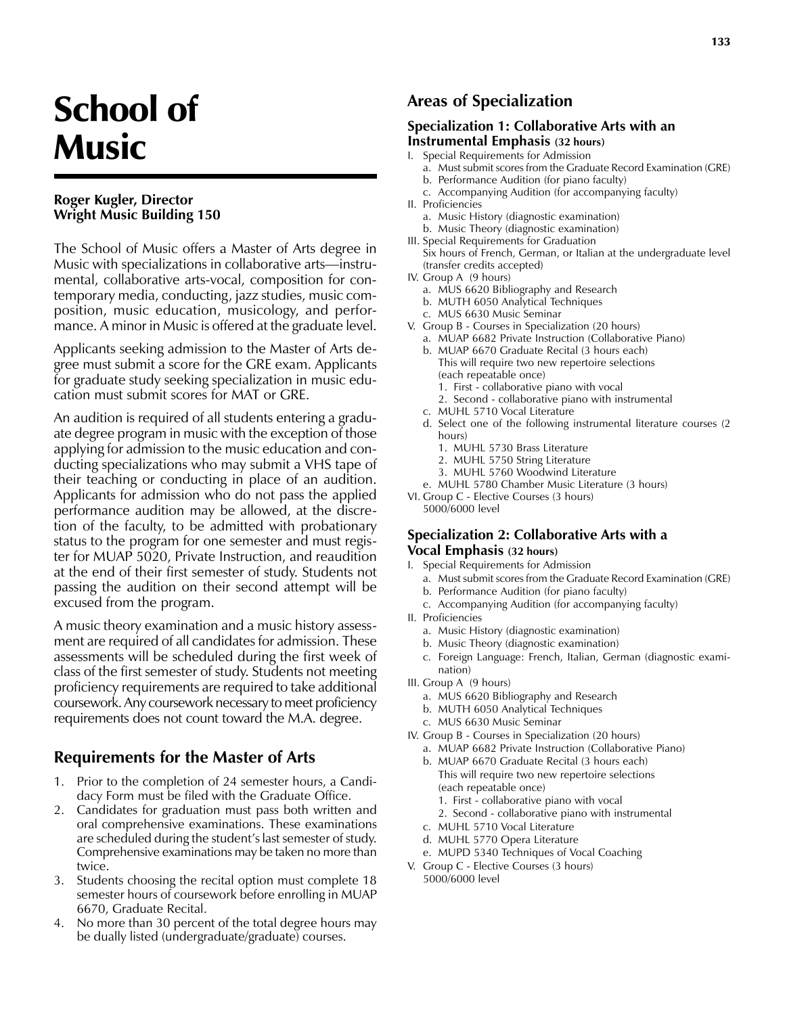# School of **Music**

#### **Roger Kugler, Director Wright Music Building 150**

The School of Music offers a Master of Arts degree in Music with specializations in collaborative arts—instrumental, collaborative arts-vocal, composition for contemporary media, conducting, jazz studies, music composition, music education, musicology, and performance. A minor in Music is offered at the graduate level.

Applicants seeking admission to the Master of Arts degree must submit a score for the GRE exam. Applicants for graduate study seeking specialization in music education must submit scores for MAT or GRE.

An audition is required of all students entering a graduate degree program in music with the exception of those applying for admission to the music education and conducting specializations who may submit a VHS tape of their teaching or conducting in place of an audition. Applicants for admission who do not pass the applied performance audition may be allowed, at the discretion of the faculty, to be admitted with probationary status to the program for one semester and must register for MUAP 5020, Private Instruction, and reaudition at the end of their first semester of study. Students not passing the audition on their second attempt will be excused from the program.

A music theory examination and a music history assessment are required of all candidates for admission. These assessments will be scheduled during the first week of class of the first semester of study. Students not meeting proficiency requirements are required to take additional coursework. Any coursework necessary to meet proficiency requirements does not count toward the M.A. degree.

# **Requirements for the Master of Arts**

- 1. Prior to the completion of 24 semester hours, a Candidacy Form must be filed with the Graduate Office.
- 2. Candidates for graduation must pass both written and oral comprehensive examinations. These examinations are scheduled during the student's last semester of study. Comprehensive examinations may be taken no more than twice.
- 3. Students choosing the recital option must complete 18 semester hours of coursework before enrolling in MUAP 6670, Graduate Recital.
- 4. No more than 30 percent of the total degree hours may be dually listed (undergraduate/graduate) courses.

# **Areas of Specialization**

#### **Specialization 1: Collaborative Arts with an Instrumental Emphasis (32 hours)**

- I. Special Requirements for Admission
	- a. Must submit scores from the Graduate Record Examination (GRE)
	- b. Performance Audition (for piano faculty)
	- c. Accompanying Audition (for accompanying faculty)
- II. Proficiencies
	- a. Music History (diagnostic examination)
	- b. Music Theory (diagnostic examination)
- III. Special Requirements for Graduation Six hours of French, German, or Italian at the undergraduate level (transfer credits accepted)
- IV. Group A (9 hours)
	- a. MUS 6620 Bibliography and Research
	- b. MUTH 6050 Analytical Techniques
	- c. MUS 6630 Music Seminar
- V. Group B Courses in Specialization (20 hours)
	- a. MUAP 6682 Private Instruction (Collaborative Piano)
	- b. MUAP 6670 Graduate Recital (3 hours each) This will require two new repertoire selections (each repeatable once)
		- 1. First collaborative piano with vocal
		- 2. Second collaborative piano with instrumental
	- c. MUHL 5710 Vocal Literature
	- d. Select one of the following instrumental literature courses (2 hours)
		- 1. MUHL 5730 Brass Literature
		- 2. MUHL 5750 String Literature
		- 3. MUHL 5760 Woodwind Literature
	- e. MUHL 5780 Chamber Music Literature (3 hours)
- VI. Group C Elective Courses (3 hours)
	- 5000/6000 level

#### **Specialization 2: Collaborative Arts with a Vocal Emphasis (32 hours)**

#### I. Special Requirements for Admission

- a. Must submit scores from the Graduate Record Examination (GRE) b. Performance Audition (for piano faculty)
- c. Accompanying Audition (for accompanying faculty)
- II. Proficiencies
	- a. Music History (diagnostic examination)
	- b. Music Theory (diagnostic examination)
	- c. Foreign Language: French, Italian, German (diagnostic examination)
- III. Group A (9 hours)
	- a. MUS 6620 Bibliography and Research
	- b. MUTH 6050 Analytical Techniques
	- c. MUS 6630 Music Seminar
- IV. Group B Courses in Specialization (20 hours)
	- a. MUAP 6682 Private Instruction (Collaborative Piano)
	- b. MUAP 6670 Graduate Recital (3 hours each) This will require two new repertoire selections (each repeatable once)
		- 1. First collaborative piano with vocal
		- 2. Second collaborative piano with instrumental
	- c. MUHL 5710 Vocal Literature
	- d. MUHL 5770 Opera Literature
	- e. MUPD 5340 Techniques of Vocal Coaching
- V. Group C Elective Courses (3 hours) 5000/6000 level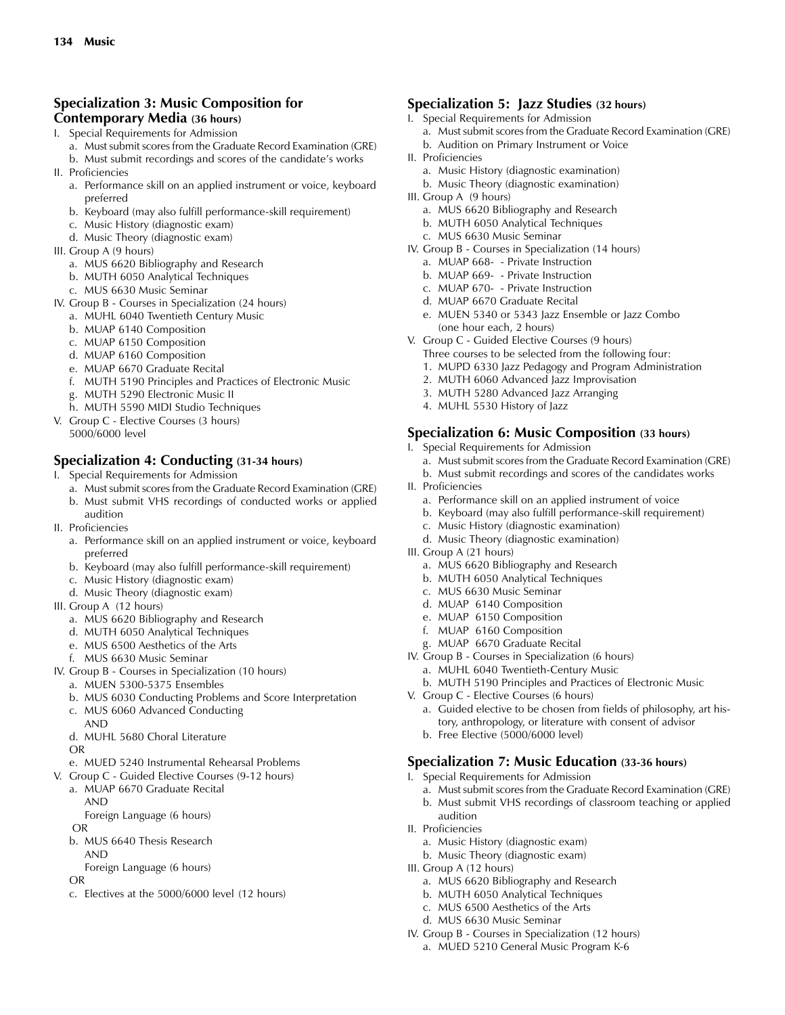#### **Specialization 3: Music Composition for Contemporary Media (36 hours)**

- I. Special Requirements for Admission
	- a. Must submit scores from the Graduate Record Examination (GRE)
	- b. Must submit recordings and scores of the candidate's works
- II. Proficiencies
	- a. Performance skill on an applied instrument or voice, keyboard preferred
	- b. Keyboard (may also fulfill performance-skill requirement)
	- c. Music History (diagnostic exam)
	- d. Music Theory (diagnostic exam)
- III. Group A (9 hours)
	- a. MUS 6620 Bibliography and Research
	- b. MUTH 6050 Analytical Techniques
	- c. MUS 6630 Music Seminar
- IV. Group B Courses in Specialization (24 hours)
	- a. MUHL 6040 Twentieth Century Music
	- b. MUAP 6140 Composition
	- c. MUAP 6150 Composition
	- d. MUAP 6160 Composition
	- e. MUAP 6670 Graduate Recital
	- f. MUTH 5190 Principles and Practices of Electronic Music
	- g. MUTH 5290 Electronic Music II
	- h. MUTH 5590 MIDI Studio Techniques
- V. Group C Elective Courses (3 hours) 5000/6000 level

#### **Specialization 4: Conducting (31-34 hours)**

- I. Special Requirements for Admission
	- a. Must submit scores from the Graduate Record Examination (GRE)
	- b. Must submit VHS recordings of conducted works or applied audition
- II. Proficiencies
	- a. Performance skill on an applied instrument or voice, keyboard preferred
	- b. Keyboard (may also fulfill performance-skill requirement)
	- c. Music History (diagnostic exam)
	- d. Music Theory (diagnostic exam)
- III. Group A (12 hours)
	- a. MUS 6620 Bibliography and Research
	- d. MUTH 6050 Analytical Techniques
	- e. MUS 6500 Aesthetics of the Arts
	- f. MUS 6630 Music Seminar
- IV. Group B Courses in Specialization (10 hours)
	- a. MUEN 5300-5375 Ensembles
	- b. MUS 6030 Conducting Problems and Score Interpretation
	- c. MUS 6060 Advanced Conducting
	- AND
	- d. MUHL 5680 Choral Literature
	- OR
	- e. MUED 5240 Instrumental Rehearsal Problems
- V. Group C Guided Elective Courses (9-12 hours)
	- a. MUAP 6670 Graduate Recital AND
		- Foreign Language (6 hours)
	- OR
	- b. MUS 6640 Thesis Research
	- AND
	- Foreign Language (6 hours)

```
OR
```
c. Electives at the 5000/6000 level (12 hours)

#### **Specialization 5: Jazz Studies (32 hours)**

- I. Special Requirements for Admission
- a. Must submit scores from the Graduate Record Examination (GRE) b. Audition on Primary Instrument or Voice
- II. Proficiencies
	- a. Music History (diagnostic examination)
	- b. Music Theory (diagnostic examination)
- III. Group A (9 hours)
	- a. MUS 6620 Bibliography and Research
	- b. MUTH 6050 Analytical Techniques
	- c. MUS 6630 Music Seminar
- IV. Group B Courses in Specialization (14 hours)
	- a. MUAP 668- Private Instruction b. MUAP 669- - Private Instruction
	- c. MUAP 670- Private Instruction
	- d. MUAP 6670 Graduate Recital
	-
	- e. MUEN 5340 or 5343 Jazz Ensemble or Jazz Combo (one hour each, 2 hours)
- V. Group C Guided Elective Courses (9 hours)
	- Three courses to be selected from the following four:
	- 1. MUPD 6330 Jazz Pedagogy and Program Administration
	- 2. MUTH 6060 Advanced Jazz Improvisation
	- 3. MUTH 5280 Advanced Jazz Arranging
	- 4. MUHL 5530 History of Jazz

#### **Specialization 6: Music Composition (33 hours)**

- I. Special Requirements for Admission
	- a. Must submit scores from the Graduate Record Examination (GRE)
	- b. Must submit recordings and scores of the candidates works
- II. Proficiencies
	- a. Performance skill on an applied instrument of voice
	- b. Keyboard (may also fulfill performance-skill requirement)
	- c. Music History (diagnostic examination)
	- d. Music Theory (diagnostic examination)
- III. Group A (21 hours)
	- a. MUS 6620 Bibliography and Research
	- b. MUTH 6050 Analytical Techniques
	- c. MUS 6630 Music Seminar
	- d. MUAP 6140 Composition
	- e. MUAP 6150 Composition
	- f. MUAP 6160 Composition
	- g. MUAP 6670 Graduate Recital
- IV. Group B Courses in Specialization (6 hours)
	- a. MUHL 6040 Twentieth-Century Music
	- b. MUTH 5190 Principles and Practices of Electronic Music

**Specialization 7: Music Education (33-36 hours)**

- V. Group C Elective Courses (6 hours)
	- a. Guided elective to be chosen from fields of philosophy, art history, anthropology, or literature with consent of advisor

a. Must submit scores from the Graduate Record Examination (GRE) b. Must submit VHS recordings of classroom teaching or applied

b. Free Elective (5000/6000 level)

I. Special Requirements for Admission

a. Music History (diagnostic exam) b. Music Theory (diagnostic exam)

a. MUS 6620 Bibliography and Research b. MUTH 6050 Analytical Techniques c. MUS 6500 Aesthetics of the Arts d. MUS 6630 Music Seminar

IV. Group B - Courses in Specialization (12 hours) a. MUED 5210 General Music Program K-6

audition II. Proficiencies

III. Group A (12 hours)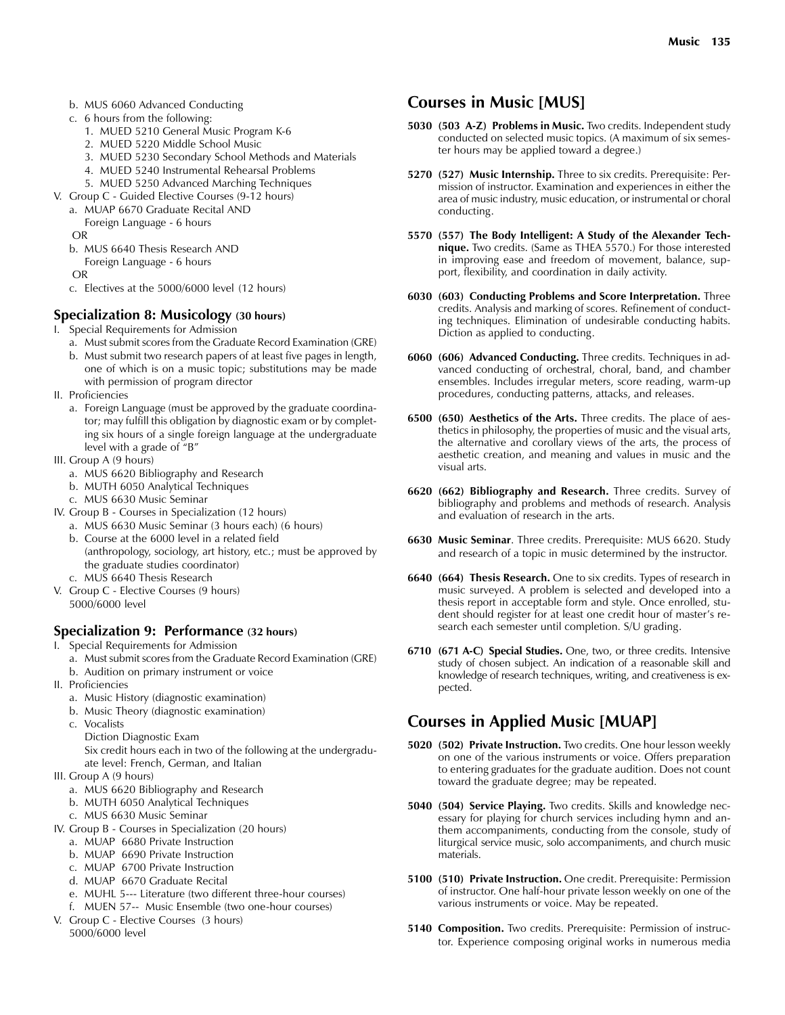- b. MUS 6060 Advanced Conducting
- c. 6 hours from the following:
	- 1. MUED 5210 General Music Program K-6
	- 2. MUED 5220 Middle School Music
	- 3. MUED 5230 Secondary School Methods and Materials
	- 4. MUED 5240 Instrumental Rehearsal Problems
	- 5. MUED 5250 Advanced Marching Techniques
- V. Group C Guided Elective Courses (9-12 hours)
	- a. MUAP 6670 Graduate Recital AND Foreign Language - 6 hours
	- OR
	- b. MUS 6640 Thesis Research AND Foreign Language - 6 hours
	- OR
	- c. Electives at the 5000/6000 level (12 hours)

#### **Specialization 8: Musicology (30 hours)**

- I. Special Requirements for Admission
	- a. Must submit scores from the Graduate Record Examination (GRE) b. Must submit two research papers of at least five pages in length,
	- one of which is on a music topic; substitutions may be made with permission of program director
- II. Proficiencies
	- a. Foreign Language (must be approved by the graduate coordinator; may fulfill this obligation by diagnostic exam or by completing six hours of a single foreign language at the undergraduate level with a grade of "B"
- III. Group A (9 hours)
	- a. MUS 6620 Bibliography and Research
	- b. MUTH 6050 Analytical Techniques
	- c. MUS 6630 Music Seminar
- IV. Group B Courses in Specialization (12 hours)
	- a. MUS 6630 Music Seminar (3 hours each) (6 hours)
	- b. Course at the 6000 level in a related field (anthropology, sociology, art history, etc.; must be approved by the graduate studies coordinator) c. MUS 6640 Thesis Research
- V. Group C Elective Courses (9 hours)
- 5000/6000 level

#### **Specialization 9: Performance (32 hours)**

- I. Special Requirements for Admission
	- a. Must submit scores from the Graduate Record Examination (GRE)
	- b. Audition on primary instrument or voice
- II. Proficiencies
	- a. Music History (diagnostic examination)
	- b. Music Theory (diagnostic examination)
	- c. Vocalists Diction Diagnostic Exam
		- Six credit hours each in two of the following at the undergraduate level: French, German, and Italian
- III. Group A (9 hours)
	- a. MUS 6620 Bibliography and Research
	- b. MUTH 6050 Analytical Techniques
	- c. MUS 6630 Music Seminar
- IV. Group B Courses in Specialization (20 hours)
	- a. MUAP 6680 Private Instruction
	- b. MUAP 6690 Private Instruction
	- c. MUAP 6700 Private Instruction
	- d. MUAP 6670 Graduate Recital
	- e. MUHL 5--- Literature (two different three-hour courses)
- f. MUEN 57-- Music Ensemble (two one-hour courses) V. Group C - Elective Courses (3 hours)
- 5000/6000 level

# **Courses in Music [MUS]**

- **5030 (503 A-Z) Problems in Music.** Two credits. Independent study conducted on selected music topics. (A maximum of six semester hours may be applied toward a degree.)
- **5270 (527) Music Internship.** Three to six credits. Prerequisite: Permission of instructor. Examination and experiences in either the area of music industry, music education, or instrumental or choral conducting.
- **5570 (557) The Body Intelligent: A Study of the Alexander Technique.** Two credits. (Same as THEA 5570.) For those interested in improving ease and freedom of movement, balance, support, flexibility, and coordination in daily activity.
- **6030 (603) Conducting Problems and Score Interpretation.** Three credits. Analysis and marking of scores. Refinement of conducting techniques. Elimination of undesirable conducting habits. Diction as applied to conducting.
- **6060 (606) Advanced Conducting.** Three credits. Techniques in advanced conducting of orchestral, choral, band, and chamber ensembles. Includes irregular meters, score reading, warm-up procedures, conducting patterns, attacks, and releases.
- **6500 (650) Aesthetics of the Arts.** Three credits. The place of aesthetics in philosophy, the properties of music and the visual arts, the alternative and corollary views of the arts, the process of aesthetic creation, and meaning and values in music and the visual arts.
- **6620 (662) Bibliography and Research.** Three credits. Survey of bibliography and problems and methods of research. Analysis and evaluation of research in the arts.
- **6630 Music Seminar**. Three credits. Prerequisite: MUS 6620. Study and research of a topic in music determined by the instructor.
- **6640 (664) Thesis Research.** One to six credits. Types of research in music surveyed. A problem is selected and developed into a thesis report in acceptable form and style. Once enrolled, student should register for at least one credit hour of master's research each semester until completion. S/U grading.
- **6710 (671 A-C) Special Studies.** One, two, or three credits. Intensive study of chosen subject. An indication of a reasonable skill and knowledge of research techniques, writing, and creativeness is expected.

# **Courses in Applied Music [MUAP]**

- **5020 (502) Private Instruction.** Two credits. One hour lesson weekly on one of the various instruments or voice. Offers preparation to entering graduates for the graduate audition. Does not count toward the graduate degree; may be repeated.
- **5040 (504) Service Playing.** Two credits. Skills and knowledge necessary for playing for church services including hymn and anthem accompaniments, conducting from the console, study of liturgical service music, solo accompaniments, and church music materials.
- **5100 (510) Private Instruction.** One credit. Prerequisite: Permission of instructor. One half-hour private lesson weekly on one of the various instruments or voice. May be repeated.
- **5140 Composition.** Two credits. Prerequisite: Permission of instructor. Experience composing original works in numerous media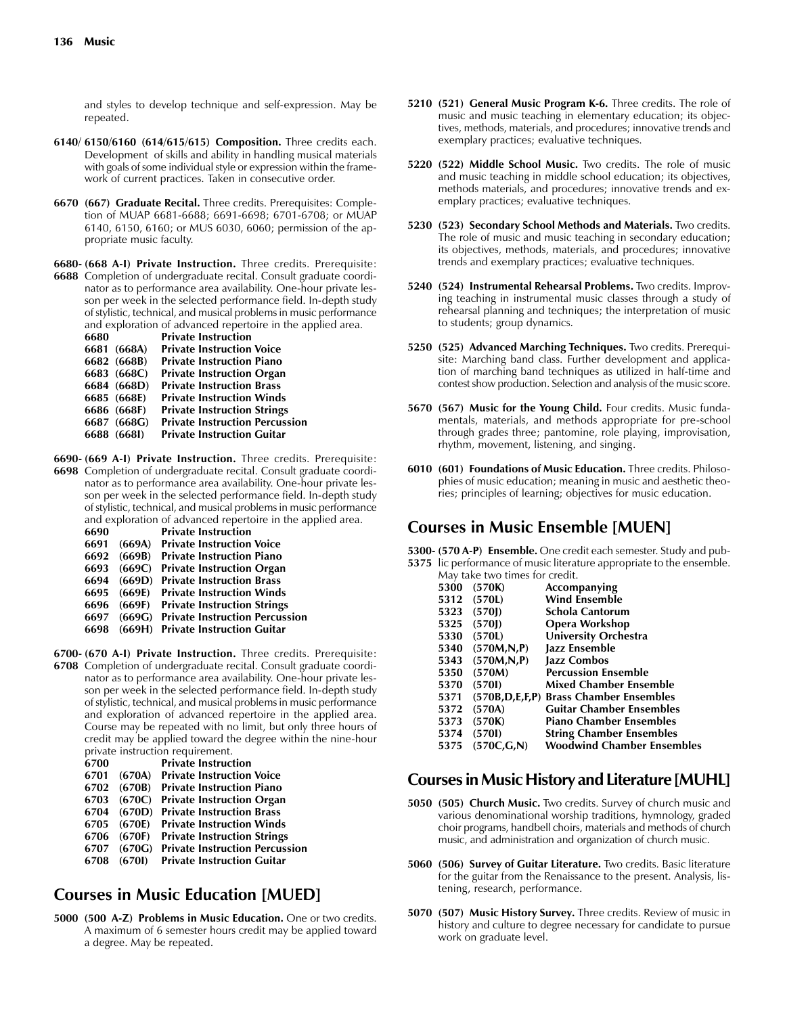and styles to develop technique and self-expression. May be repeated.

- **6140/ 6150/6160 (614/615/615) Composition.** Three credits each. Development of skills and ability in handling musical materials with goals of some individual style or expression within the framework of current practices. Taken in consecutive order.
- **6670 (667) Graduate Recital.** Three credits. Prerequisites: Completion of MUAP 6681-6688; 6691-6698; 6701-6708; or MUAP 6140, 6150, 6160; or MUS 6030, 6060; permission of the appropriate music faculty.

**6680- (668 A-I) Private Instruction.** Three credits. Prerequisite:

**6688** Completion of undergraduate recital. Consult graduate coordinator as to performance area availability. One-hour private lesson per week in the selected performance field. In-depth study of stylistic, technical, and musical problems in music performance and exploration of advanced repertoire in the applied area.

| 6680 |             | <b>Private Instruction</b>            |
|------|-------------|---------------------------------------|
|      | 6681 (668A) | <b>Private Instruction Voice</b>      |
|      | 6682 (668B) | <b>Private Instruction Piano</b>      |
|      | 6683 (668C) | <b>Private Instruction Organ</b>      |
|      | 6684 (668D) | <b>Private Instruction Brass</b>      |
|      | 6685 (668E) | <b>Private Instruction Winds</b>      |
|      | 6686 (668F) | <b>Private Instruction Strings</b>    |
|      | 6687 (668G) | <b>Private Instruction Percussion</b> |
|      | 6688 (668I) | <b>Private Instruction Guitar</b>     |
|      |             |                                       |

- **6690- (669 A-I) Private Instruction.** Three credits. Prerequisite: **6698** Completion of undergraduate recital. Consult graduate coordinator as to performance area availability. One-hour private lesson per week in the selected performance field. In-depth study of stylistic, technical, and musical problems in music performance and exploration of advanced repertoire in the applied area.<br>6690 **Private Instruction Private Instruction** 
	- **6691 (669A) Private Instruction Voice 6692 (669B) Private Instruction Piano 6693 (669C) Private Instruction Organ 6694 (669D) Private Instruction Brass 6695 (669E) Private Instruction Winds 6696 (669F) Private Instruction Strings 6697 (669G) Private Instruction Percussion**
	- **6698 (669H) Private Instruction Guitar**
- **6700- (670 A-I) Private Instruction.** Three credits. Prerequisite: **6708** Completion of undergraduate recital. Consult graduate coordinator as to performance area availability. One-hour private lesson per week in the selected performance field. In-depth study of stylistic, technical, and musical problems in music performance and exploration of advanced repertoire in the applied area. Course may be repeated with no limit, but only three hours of credit may be applied toward the degree within the nine-hour private instruction requirement.

| 6700 |        | <b>Private Instruction</b>            |
|------|--------|---------------------------------------|
| 6701 | (670A) | <b>Private Instruction Voice</b>      |
| 6702 | (670B) | <b>Private Instruction Piano</b>      |
| 6703 | (670C) | <b>Private Instruction Organ</b>      |
| 6704 | (670D) | <b>Private Instruction Brass</b>      |
| 6705 | (670E) | <b>Private Instruction Winds</b>      |
| 6706 | (670F) | <b>Private Instruction Strings</b>    |
| 6707 | (670G) | <b>Private Instruction Percussion</b> |
| 6708 | (6701) | <b>Private Instruction Guitar</b>     |
|      |        |                                       |

# **Courses in Music Education [MUED]**

**5000 (500 A-Z) Problems in Music Education.** One or two credits. A maximum of 6 semester hours credit may be applied toward a degree. May be repeated.

- **5210 (521) General Music Program K-6.** Three credits. The role of music and music teaching in elementary education; its objectives, methods, materials, and procedures; innovative trends and exemplary practices; evaluative techniques.
- **5220 (522) Middle School Music.** Two credits. The role of music and music teaching in middle school education; its objectives, methods materials, and procedures; innovative trends and exemplary practices; evaluative techniques.
- **5230 (523) Secondary School Methods and Materials.** Two credits. The role of music and music teaching in secondary education; its objectives, methods, materials, and procedures; innovative trends and exemplary practices; evaluative techniques.
- **5240 (524) Instrumental Rehearsal Problems.** Two credits. Improving teaching in instrumental music classes through a study of rehearsal planning and techniques; the interpretation of music to students; group dynamics.
- **5250 (525) Advanced Marching Techniques.** Two credits. Prerequisite: Marching band class. Further development and application of marching band techniques as utilized in half-time and contest show production. Selection and analysis of the music score.
- **5670 (567) Music for the Young Child.** Four credits. Music fundamentals, materials, and methods appropriate for pre-school through grades three; pantomine, role playing, improvisation, rhythm, movement, listening, and singing.
- **6010 (601) Foundations of Music Education.** Three credits. Philosophies of music education; meaning in music and aesthetic theories; principles of learning; objectives for music education.

# **Courses in Music Ensemble [MUEN]**

**5300- (570 A-P) Ensemble.** One credit each semester. Study and pub-

| 5375 lic performance of music literature appropriate to the ensemble. |
|-----------------------------------------------------------------------|
| May take two times for credit.                                        |

| 5300 | (570K)       | Accompanying                           |
|------|--------------|----------------------------------------|
| 5312 | (570L)       | <b>Wind Ensemble</b>                   |
| 5323 | (570)        | Schola Cantorum                        |
| 5325 | (570)        | Opera Workshop                         |
| 5330 | (570L)       | University Orchestra                   |
| 5340 | (570M,N,P)   | Jazz Ensemble                          |
| 5343 | (570M,N,P)   | Jazz Combos                            |
| 5350 | (570M)       | <b>Percussion Ensemble</b>             |
| 5370 | (5701)       | Mixed Chamber Ensemble                 |
| 5371 |              | (570B,D,E,F,P) Brass Chamber Ensembles |
| 5372 | (570A)       | <b>Guitar Chamber Ensembles</b>        |
| 5373 | (570K)       | <b>Piano Chamber Ensembles</b>         |
| 5374 | (5701)       | <b>String Chamber Ensembles</b>        |
| 5375 | (570C, G, N) | <b>Woodwind Chamber Ensembles</b>      |
|      |              |                                        |

#### **Courses in Music History and Literature [MUHL]**

- **5050 (505) Church Music.** Two credits. Survey of church music and various denominational worship traditions, hymnology, graded choir programs, handbell choirs, materials and methods of church music, and administration and organization of church music.
- **5060 (506) Survey of Guitar Literature.** Two credits. Basic literature for the guitar from the Renaissance to the present. Analysis, listening, research, performance.
- **5070 (507) Music History Survey.** Three credits. Review of music in history and culture to degree necessary for candidate to pursue work on graduate level.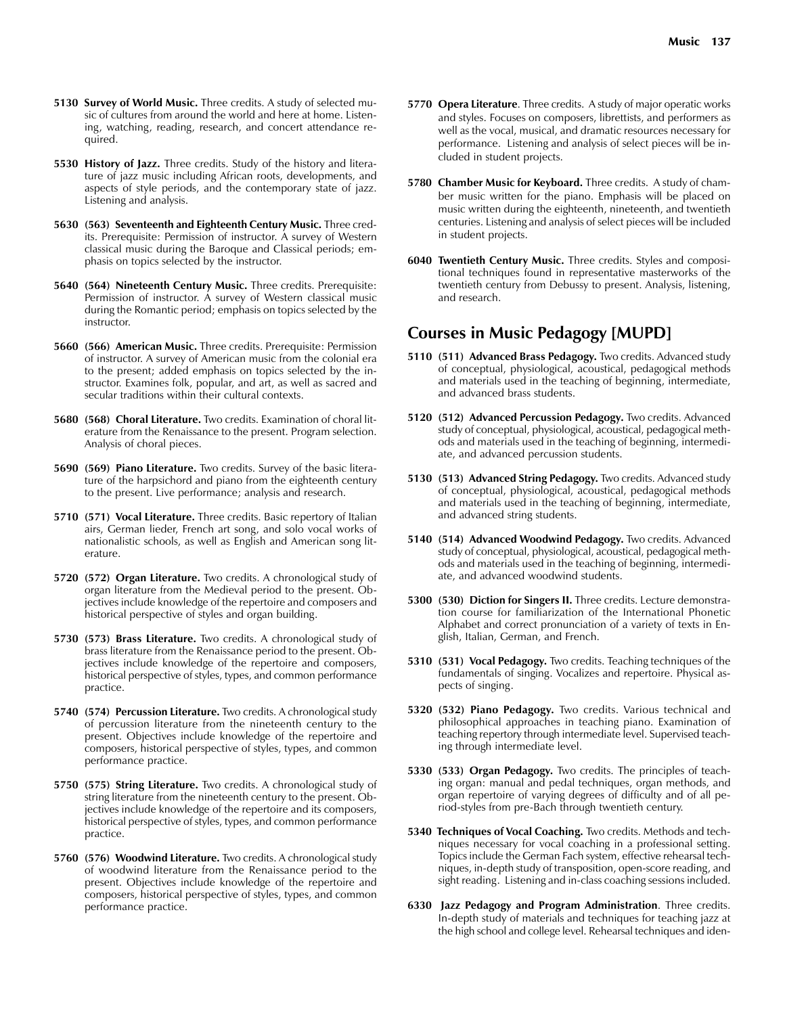- **5130 Survey of World Music.** Three credits. A study of selected music of cultures from around the world and here at home. Listening, watching, reading, research, and concert attendance required.
- **5530 History of Jazz.** Three credits. Study of the history and literature of jazz music including African roots, developments, and aspects of style periods, and the contemporary state of jazz. Listening and analysis.
- **5630 (563) Seventeenth and Eighteenth Century Music.** Three credits. Prerequisite: Permission of instructor. A survey of Western classical music during the Baroque and Classical periods; emphasis on topics selected by the instructor.
- **5640 (564) Nineteenth Century Music.** Three credits. Prerequisite: Permission of instructor. A survey of Western classical music during the Romantic period; emphasis on topics selected by the instructor.
- **5660 (566) American Music.** Three credits. Prerequisite: Permission of instructor. A survey of American music from the colonial era to the present; added emphasis on topics selected by the instructor. Examines folk, popular, and art, as well as sacred and secular traditions within their cultural contexts.
- **5680 (568) Choral Literature.** Two credits. Examination of choral literature from the Renaissance to the present. Program selection. Analysis of choral pieces.
- **5690 (569) Piano Literature.** Two credits. Survey of the basic literature of the harpsichord and piano from the eighteenth century to the present. Live performance; analysis and research.
- **5710 (571) Vocal Literature.** Three credits. Basic repertory of Italian airs, German lieder, French art song, and solo vocal works of nationalistic schools, as well as English and American song literature.
- **5720 (572) Organ Literature.** Two credits. A chronological study of organ literature from the Medieval period to the present. Objectives include knowledge of the repertoire and composers and historical perspective of styles and organ building.
- **5730 (573) Brass Literature.** Two credits. A chronological study of brass literature from the Renaissance period to the present. Objectives include knowledge of the repertoire and composers, historical perspective of styles, types, and common performance practice.
- **5740 (574) Percussion Literature.** Two credits. A chronological study of percussion literature from the nineteenth century to the present. Objectives include knowledge of the repertoire and composers, historical perspective of styles, types, and common performance practice.
- **5750 (575) String Literature.** Two credits. A chronological study of string literature from the nineteenth century to the present. Objectives include knowledge of the repertoire and its composers, historical perspective of styles, types, and common performance practice.
- **5760 (576) Woodwind Literature.** Two credits. A chronological study of woodwind literature from the Renaissance period to the present. Objectives include knowledge of the repertoire and composers, historical perspective of styles, types, and common performance practice.
- **5770 Opera Literature**. Three credits. A study of major operatic works and styles. Focuses on composers, librettists, and performers as well as the vocal, musical, and dramatic resources necessary for performance. Listening and analysis of select pieces will be included in student projects.
- **5780 Chamber Music for Keyboard.** Three credits. A study of chamber music written for the piano. Emphasis will be placed on music written during the eighteenth, nineteenth, and twentieth centuries. Listening and analysis of select pieces will be included in student projects.
- **6040 Twentieth Century Music.** Three credits. Styles and compositional techniques found in representative masterworks of the twentieth century from Debussy to present. Analysis, listening, and research.

# **Courses in Music Pedagogy [MUPD]**

- **5110 (511) Advanced Brass Pedagogy.** Two credits. Advanced study of conceptual, physiological, acoustical, pedagogical methods and materials used in the teaching of beginning, intermediate, and advanced brass students.
- **5120 (512) Advanced Percussion Pedagogy.** Two credits. Advanced study of conceptual, physiological, acoustical, pedagogical methods and materials used in the teaching of beginning, intermediate, and advanced percussion students.
- **5130 (513) Advanced String Pedagogy.** Two credits. Advanced study of conceptual, physiological, acoustical, pedagogical methods and materials used in the teaching of beginning, intermediate, and advanced string students.
- **5140 (514) Advanced Woodwind Pedagogy.** Two credits. Advanced study of conceptual, physiological, acoustical, pedagogical methods and materials used in the teaching of beginning, intermediate, and advanced woodwind students.
- **5300 (530) Diction for Singers II.** Three credits. Lecture demonstration course for familiarization of the International Phonetic Alphabet and correct pronunciation of a variety of texts in English, Italian, German, and French.
- **5310 (531) Vocal Pedagogy.** Two credits. Teaching techniques of the fundamentals of singing. Vocalizes and repertoire. Physical aspects of singing.
- **5320 (532) Piano Pedagogy.** Two credits. Various technical and philosophical approaches in teaching piano. Examination of teaching repertory through intermediate level. Supervised teaching through intermediate level.
- **5330 (533) Organ Pedagogy.** Two credits. The principles of teaching organ: manual and pedal techniques, organ methods, and organ repertoire of varying degrees of difficulty and of all period-styles from pre-Bach through twentieth century.
- **5340 Techniques of Vocal Coaching.** Two credits. Methods and techniques necessary for vocal coaching in a professional setting. Topics include the German Fach system, effective rehearsal techniques, in-depth study of transposition, open-score reading, and sight reading. Listening and in-class coaching sessions included.
- **6330 Jazz Pedagogy and Program Administration**. Three credits. In-depth study of materials and techniques for teaching jazz at the high school and college level. Rehearsal techniques and iden-